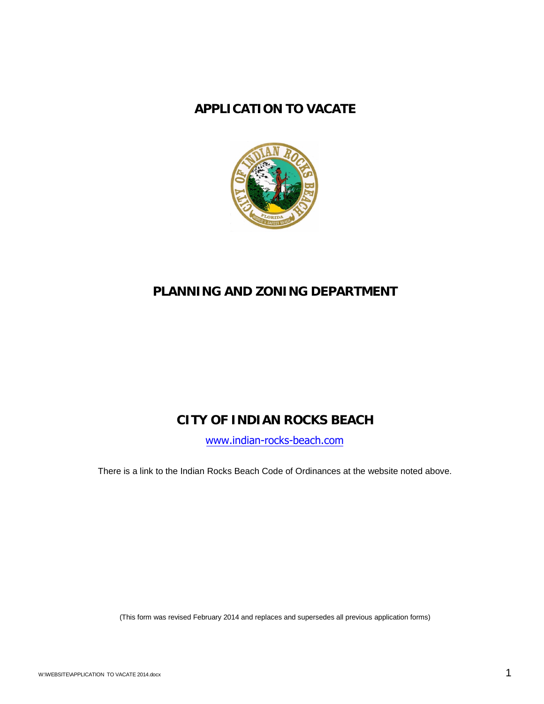### **APPLICATION TO VACATE**



# **PLANNING AND ZONING DEPARTMENT**

## **CITY OF INDIAN ROCKS BEACH**

[www.indian-rocks-beach.com](http://www.indian-rocks-beach.com/)

There is a link to the Indian Rocks Beach Code of Ordinances at the website noted above.

(This form was revised February 2014 and replaces and supersedes all previous application forms)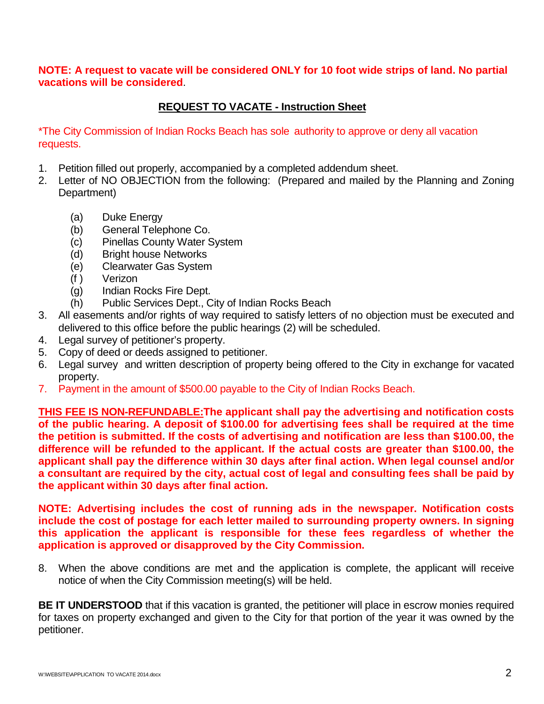**NOTE: A request to vacate will be considered ONLY for 10 foot wide strips of land. No partial vacations will be considered**.

#### **REQUEST TO VACATE - Instruction Sheet**

\*The City Commission of Indian Rocks Beach has sole authority to approve or deny all vacation requests.

- 1. Petition filled out properly, accompanied by a completed addendum sheet.
- 2. Letter of NO OBJECTION from the following: (Prepared and mailed by the Planning and Zoning Department)
	- (a) Duke Energy
	- (b) General Telephone Co.
	- (c) Pinellas County Water System
	- (d) Bright house Networks
	- (e) Clearwater Gas System
	- (f ) Verizon
	- (g) Indian Rocks Fire Dept.
	- (h) Public Services Dept., City of Indian Rocks Beach
- 3. All easements and/or rights of way required to satisfy letters of no objection must be executed and delivered to this office before the public hearings (2) will be scheduled.
- 4. Legal survey of petitioner's property.
- 5. Copy of deed or deeds assigned to petitioner.
- 6. Legal survey and written description of property being offered to the City in exchange for vacated property.
- 7. Payment in the amount of \$500.00 payable to the City of Indian Rocks Beach.

**THIS FEE IS NON-REFUNDABLE:The applicant shall pay the advertising and notification costs of the public hearing. A deposit of \$100.00 for advertising fees shall be required at the time the petition is submitted. If the costs of advertising and notification are less than \$100.00, the difference will be refunded to the applicant. If the actual costs are greater than \$100.00, the applicant shall pay the difference within 30 days after final action. When legal counsel and/or a consultant are required by the city, actual cost of legal and consulting fees shall be paid by the applicant within 30 days after final action.**

**NOTE: Advertising includes the cost of running ads in the newspaper. Notification costs include the cost of postage for each letter mailed to surrounding property owners. In signing this application the applicant is responsible for these fees regardless of whether the application is approved or disapproved by the City Commission.**

8. When the above conditions are met and the application is complete, the applicant will receive notice of when the City Commission meeting(s) will be held.

**BE IT UNDERSTOOD** that if this vacation is granted, the petitioner will place in escrow monies required for taxes on property exchanged and given to the City for that portion of the year it was owned by the petitioner.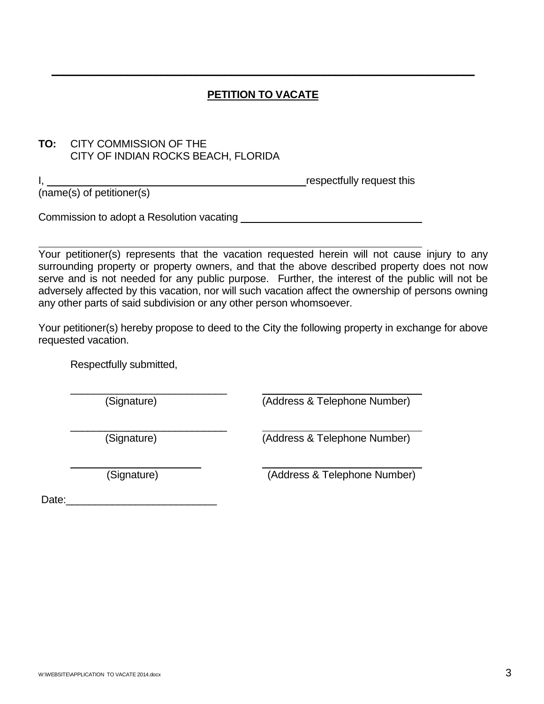### **PETITION TO VACATE**

**\_\_\_\_\_\_\_\_\_\_\_\_\_\_\_\_\_\_\_\_\_\_\_\_\_\_\_\_\_\_\_\_\_\_\_\_\_\_\_\_\_\_\_\_\_\_\_\_\_\_\_\_\_\_\_\_\_\_\_\_\_\_\_\_\_\_\_\_\_\_\_\_\_**

#### **TO:** CITY COMMISSION OF THE CITY OF INDIAN ROCKS BEACH, FLORIDA

I, the contract of the contract of the contract of the contract of the contract of the contract of the contract of the contract of the contract of the contract of the contract of the contract of the contract of the contrac

(name(s) of petitioner(s)

Commission to adopt a Resolution vacating

Your petitioner(s) represents that the vacation requested herein will not cause injury to any surrounding property or property owners, and that the above described property does not now serve and is not needed for any public purpose. Further, the interest of the public will not be adversely affected by this vacation, nor will such vacation affect the ownership of persons owning any other parts of said subdivision or any other person whomsoever.

Your petitioner(s) hereby propose to deed to the City the following property in exchange for above requested vacation.

Respectfully submitted,

 $\_$ 

(Signature) (Address & Telephone Number)

\_\_\_\_\_\_\_\_\_\_\_\_\_\_\_\_\_\_\_\_\_\_\_\_\_\_\_

(Signature) (Address & Telephone Number)

(Signature) (Address & Telephone Number)

Date:\_\_\_\_\_\_\_\_\_\_\_\_\_\_\_\_\_\_\_\_\_\_\_\_\_\_